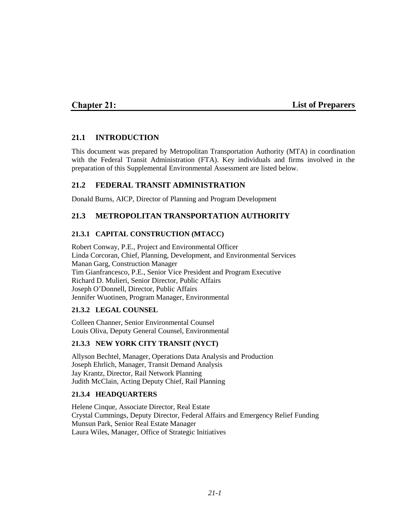# **Chapter 21:**

### **List of Preparers**

## **21.1 INTRODUCTION**

This document was prepared by Metropolitan Transportation Authority (MTA) in coordination with the Federal Transit Administration (FTA). Key individuals and firms involved in the preparation of this Supplemental Environmental Assessment are listed below.

## **21.2 FEDERAL TRANSIT ADMINISTRATION**

Donald Burns, AICP, Director of Planning and Program Development

## **21.3 METROPOLITAN TRANSPORTATION AUTHORITY**

### **21.3.1 CAPITAL CONSTRUCTION (MTACC)**

Robert Conway, P.E., Project and Environmental Officer Linda Corcoran, Chief, Planning, Development, and Environmental Services Manan Garg, Construction Manager Tim Gianfrancesco, P.E., Senior Vice President and Program Executive Richard D. Mulieri, Senior Director, Public Affairs Joseph O'Donnell, Director, Public Affairs Jennifer Wuotinen, Program Manager, Environmental

### **21.3.2 LEGAL COUNSEL**

Colleen Channer, Senior Environmental Counsel Louis Oliva, Deputy General Counsel, Environmental

### **21.3.3 NEW YORK CITY TRANSIT (NYCT)**

Allyson Bechtel, Manager, Operations Data Analysis and Production Joseph Ehrlich, Manager, Transit Demand Analysis Jay Krantz, Director, Rail Network Planning Judith McClain, Acting Deputy Chief, Rail Planning

### **21.3.4 HEADQUARTERS**

Helene Cinque, Associate Director, Real Estate Crystal Cummings, Deputy Director, Federal Affairs and Emergency Relief Funding Munsun Park, Senior Real Estate Manager Laura Wiles, Manager, Office of Strategic Initiatives